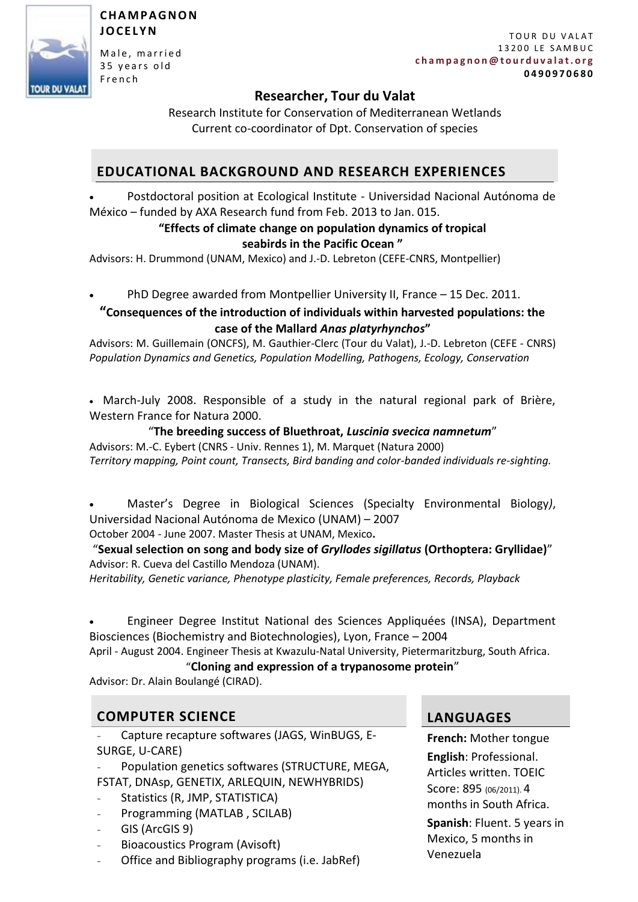

### **C H A M P A G N O N J O C E L Y N**

Male, married 35 years old F r e n c h

# **Researcher, Tour du Valat**

Research Institute for Conservation of Mediterranean Wetlands Current co-coordinator of Dpt. Conservation of species

# **EDUCATIONAL BACKGROUND AND RESEARCH EXPERIENCES**

 Postdoctoral position at Ecological Institute - Universidad Nacional Autónoma de México – funded by AXA Research fund from Feb. 2013 to Jan. 015.

## **"Effects of climate change on population dynamics of tropical seabirds in the Pacific Ocean "**

Advisors: H. Drummond (UNAM, Mexico) and J.-D. Lebreton (CEFE-CNRS, Montpellier)

PhD Degree awarded from Montpellier University II, France – 15 Dec. 2011.

## **"Consequences of the introduction of individuals within harvested populations: the case of the Mallard** *Anas platyrhynchos***"**

Advisors: M. Guillemain (ONCFS), M. Gauthier-Clerc (Tour du Valat), J.-D. Lebreton (CEFE - CNRS) *Population Dynamics and Genetics, Population Modelling, Pathogens, Ecology, Conservation*

 March-July 2008. Responsible of a study in the natural regional park of Brière, Western France for Natura 2000.

"**The breeding success of Bluethroat,** *Luscinia svecica namnetum*" Advisors: M.-C. Eybert (CNRS - Univ. Rennes 1), M. Marquet (Natura 2000) *Territory mapping, Point count, Transects, Bird banding and color-banded individuals re-sighting.*

 Master's Degree in Biological Sciences (Specialty Environmental Biology*)*, Universidad Nacional Autónoma de Mexico (UNAM) – 2007

October 2004 - June 2007. Master Thesis at UNAM, Mexico**.**

"**Sexual selection on song and body size of** *Gryllodes sigillatus* **(Orthoptera: Gryllidae)**" Advisor: R. Cueva del Castillo Mendoza (UNAM).

*Heritability, Genetic variance, Phenotype plasticity, Female preferences, Records, Playback*

 Engineer Degree Institut National des Sciences Appliquées (INSA), Department Biosciences (Biochemistry and Biotechnologies), Lyon, France – 2004

April - August 2004. Engineer Thesis at Kwazulu-Natal University, Pietermaritzburg, South Africa.

# "**Cloning and expression of a trypanosome protein**"

Advisor: Dr. Alain Boulangé (CIRAD).

# **COMPUTER SCIENCE LANGUAGES**

- Capture recapture softwares (JAGS, WinBUGS, E-SURGE, U-CARE)
- Population genetics softwares (STRUCTURE, MEGA, FSTAT, DNAsp, GENETIX, ARLEQUIN, NEWHYBRIDS)
- Statistics (R, JMP, STATISTICA)
- Programming (MATLAB , SCILAB)
- GIS (ArcGIS 9)
- Bioacoustics Program (Avisoft)
- Office and Bibliography programs (i.e. JabRef)

**French:** Mother tongue **English**: Professional. Articles written. TOEIC Score: 895 (06/2011). 4 months in South Africa.

**Spanish**: Fluent. 5 years in Mexico, 5 months in Venezuela